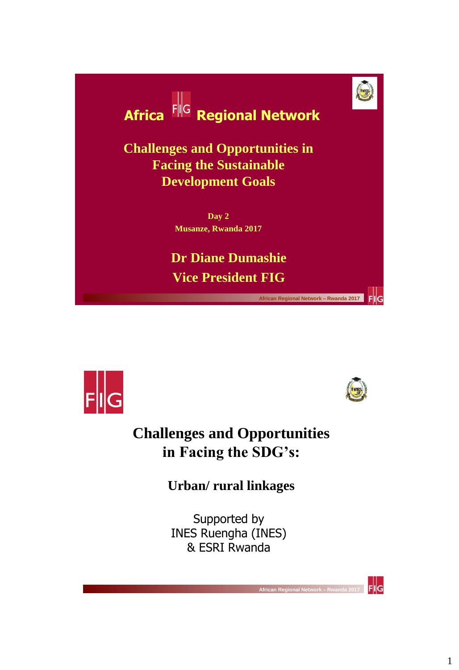

**Vice President FIG**





**FIIG** 

 $F||G$ 

 **African Regional Network – Rwanda 2017** 

### **Challenges and Opportunities in Facing the SDG's:**

**Urban/ rural linkages**

Supported by INES Ruengha (INES) & ESRI Rwanda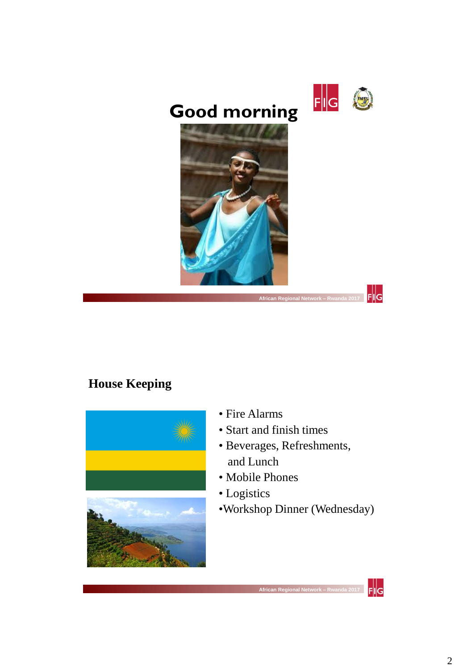

 $\frac{1}{\mathsf{F}}\|\mathsf{G}%$ 

## **Good morning**



 **African Regional Network – Rwanda 2017** 

### **House Keeping**



- Fire Alarms
- Start and finish times
- Beverages, Refreshments, and Lunch
- Mobile Phones
- Logistics
- •Workshop Dinner (Wednesday)

 **African Regional Nety** 

 $F$ <sub>I</sub> $G$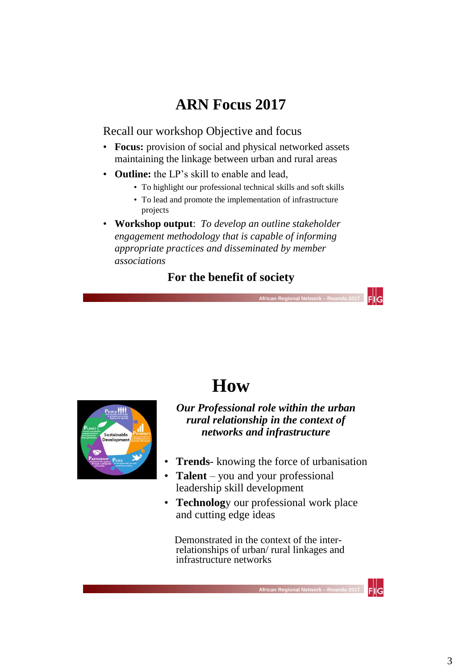### **ARN Focus 2017**

Recall our workshop Objective and focus

- **Focus:** provision of social and physical networked assets maintaining the linkage between urban and rural areas
- **Outline:** the LP's skill to enable and lead,
	- To highlight our professional technical skills and soft skills
	- To lead and promote the implementation of infrastructure projects
- **Workshop output**: *To develop an outline stakeholder engagement methodology that is capable of informing appropriate practices and disseminated by member associations*

### **For the benefit of society**

 **African Regional Network – Rwanda 2017** 



## **How**

*Our Professional role within the urban rural relationship in the context of networks and infrastructure*

- **Trends** knowing the force of urbanisation
- **Talent**  you and your professional leadership skill development
- **Technology** our professional work place and cutting edge ideas

 Demonstrated in the context of the interrelationships of urban/ rural linkages and infrastructure networks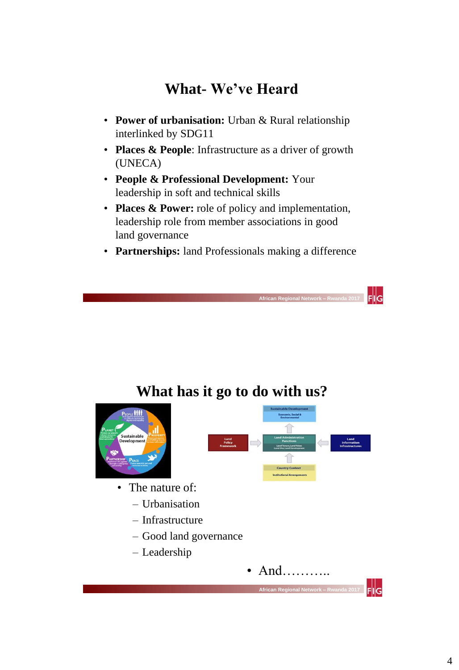### **What- We've Heard**

- **Power of urbanisation:** Urban & Rural relationship interlinked by SDG11
- **Places & People**: Infrastructure as a driver of growth (UNECA)
- **People & Professional Development:** Your leadership in soft and technical skills
- **Places & Power:** role of policy and implementation, leadership role from member associations in good land governance
- **Partnerships:** land Professionals making a difference

 **African Regional Network – Rwanda 2017** 

 $F||G$ 

### **What has it go to do with us?**

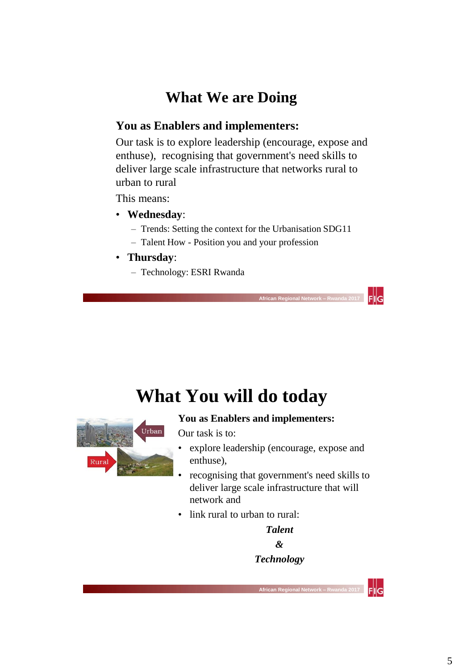### **What We are Doing**

### **You as Enablers and implementers:**

Our task is to explore leadership (encourage, expose and enthuse), recognising that government's need skills to deliver large scale infrastructure that networks rural to urban to rural

This means:

- **Wednesday**:
	- Trends: Setting the context for the Urbanisation SDG11
	- Talent How Position you and your profession
- **Thursday**:
	- Technology: ESRI Rwanda

## **What You will do today**



#### **You as Enablers and implementers:**

Our task is to:

• explore leadership (encourage, expose and enthuse),

 **African Regional Network – Rwanda 2017** 

 $F||G$ 

 $\mathsf{Fll}\mathsf{G}$ 

- recognising that government's need skills to deliver large scale infrastructure that will network and
- link rural to urban to rural:

*Talent & Technology*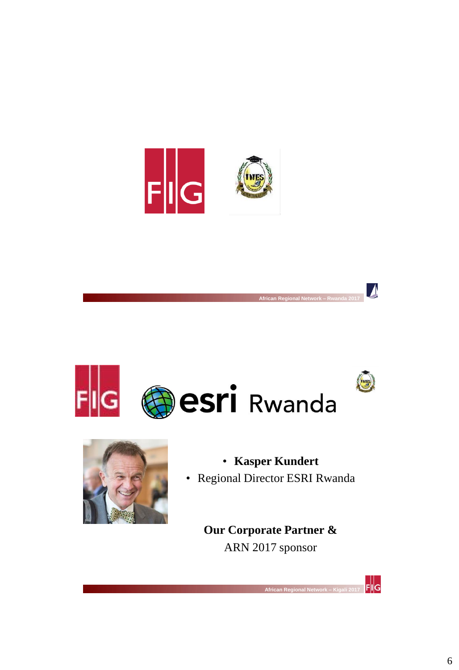



 **African Regional Network – Kigali 2017** 

 **African Regional Network – Rwanda 2017** 



## • **Kasper Kundert**

 $\boldsymbol{\Lambda}$ 

 $\frac{1}{2}$  FIIG

• Regional Director ESRI Rwanda

**Our Corporate Partner &**  ARN 2017 sponsor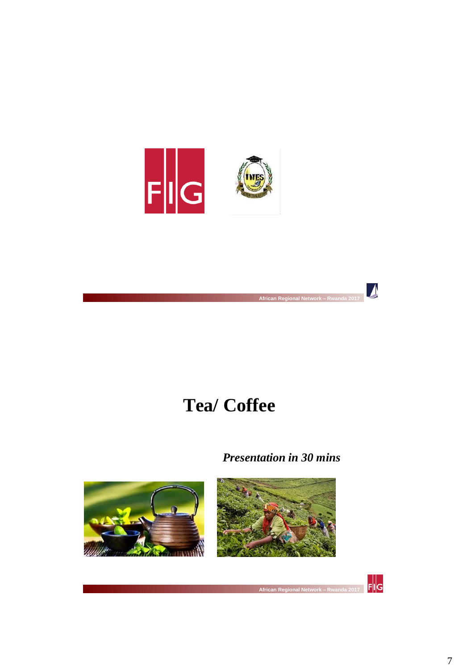



 **African Regional Network – Rwanda 2017** 

 **African Regional Network – Rwanda 2017** 

*Presentation in 30 mins*







 $\blacktriangleright$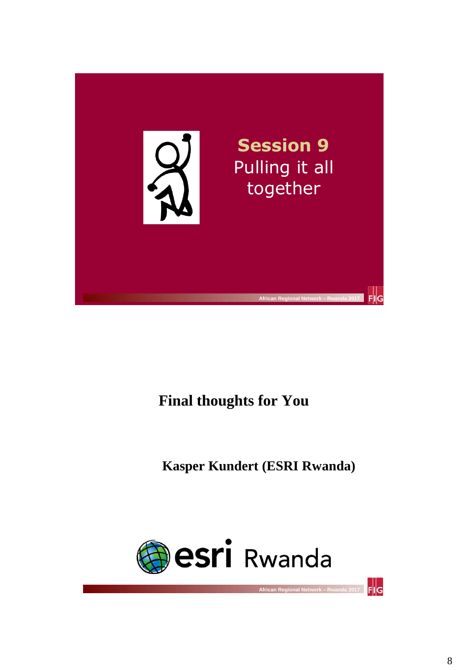

### **Final thoughts for You**

**Kasper Kundert (ESRI Rwanda)**

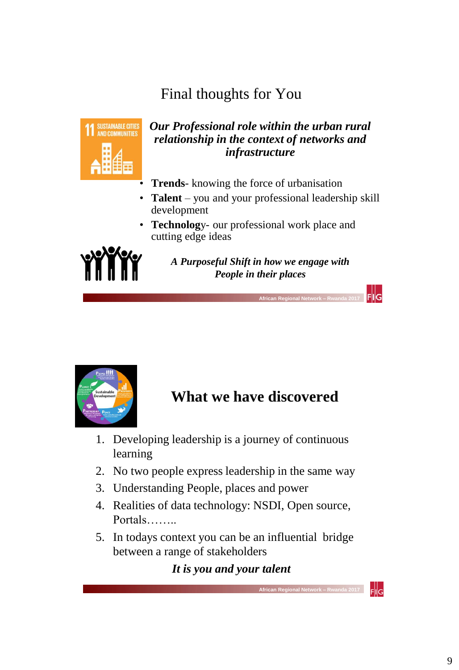### Final thoughts for You



#### *Our Professional role within the urban rural relationship in the context of networks and infrastructure*

- **Trends** knowing the force of urbanisation
- **Talent**  you and your professional leadership skill development
- **Technolog**y- our professional work place and cutting edge ideas



*A Purposeful Shift in how we engage with People in their places*

 $F||G$ 

 $F$ <sub>IlG</sub>



### **What we have discovered**

1. Developing leadership is a journey of continuous learning

 **African Regional Network – Rwanda 2017** 

- 2. No two people express leadership in the same way
- 3. Understanding People, places and power
- 4. Realities of data technology: NSDI, Open source, Portals……..
- 5. In todays context you can be an influential bridge between a range of stakeholders

 **African Regional Network – Rwanda 2017** 

### *It is you and your talent*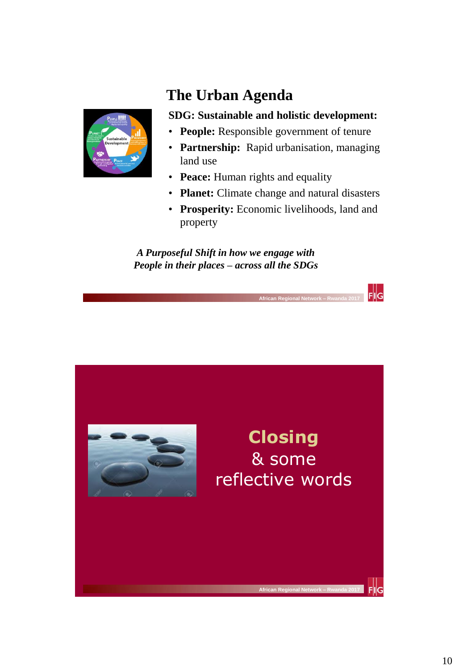

### **The Urban Agenda**

#### **SDG: Sustainable and holistic development:**

- **People:** Responsible government of tenure
- **Partnership:** Rapid urbanisation, managing land use
- **Peace:** Human rights and equality
- **Planet:** Climate change and natural disasters
- **Prosperity:** Economic livelihoods, land and property

 $\frac{1}{2}$  FIIG

*A Purposeful Shift in how we engage with People in their places – across all the SDGs*

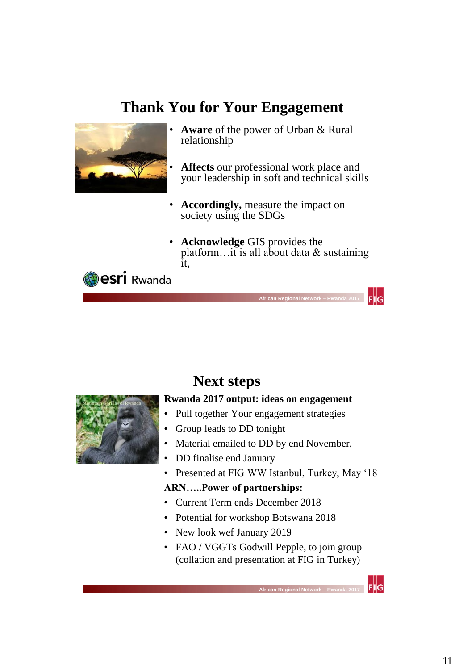### **Thank You for Your Engagement**



- **Aware** of the power of Urban & Rural relationship
- **Affects** our professional work place and your leadership in soft and technical skills
- **Accordingly,** measure the impact on society using the SDGs
- **Acknowledge** GIS provides the platform...it is all about data  $&$  sustaining it,

 $F||G$ 

 $F||G$ 





### **Next steps**

 **African Regional Network – Rwanda 2017** 

#### **Rwanda 2017 output: ideas on engagement**

- Pull together Your engagement strategies
- Group leads to DD tonight
- Material emailed to DD by end November,
- DD finalise end January
- Presented at FIG WW Istanbul, Turkey, May '18

#### **ARN…..Power of partnerships:**

- Current Term ends December 2018
- Potential for workshop Botswana 2018
- New look wef January 2019
- FAO / VGGTs Godwill Pepple, to join group (collation and presentation at FIG in Turkey)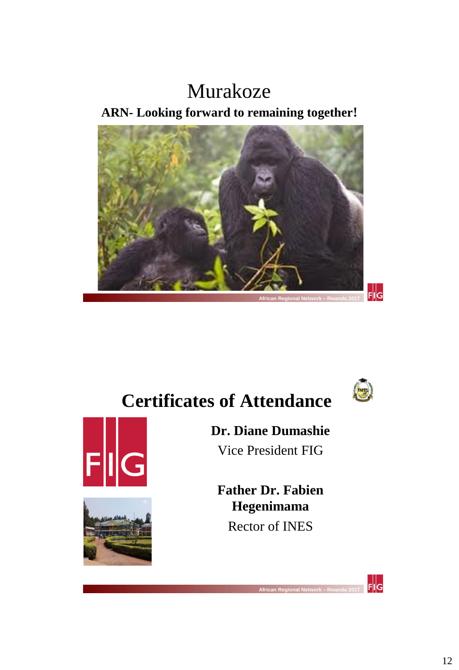# Murakoze

**ARN- Looking forward to remaining together!**





# **Certificates of Attendance**

 **African Regional Network – Rwanda 2017** 





**Dr. Diane Dumashie** Vice President FIG

**Father Dr. Fabien Hegenimama** Rector of INES

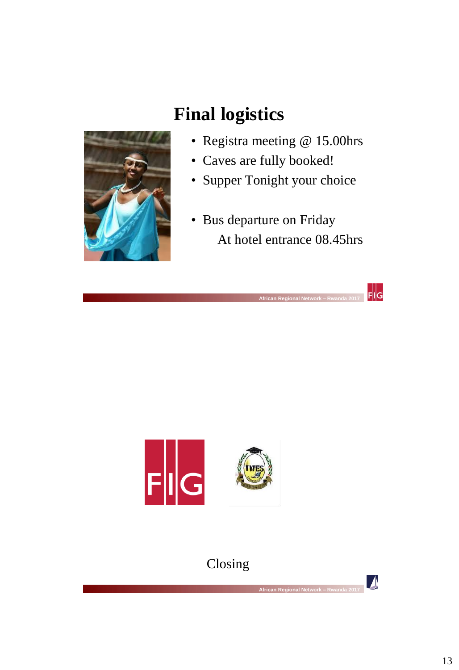

# **Final logistics**

 **African Regional Network – Rwanda 2017** 

- Registra meeting @ 15.00hrs
- Caves are fully booked!
- Supper Tonight your choice
- Bus departure on Friday At hotel entrance 08.45hrs

 $\frac{1}{2}$   $\frac{1}{2}$ 



### Closing